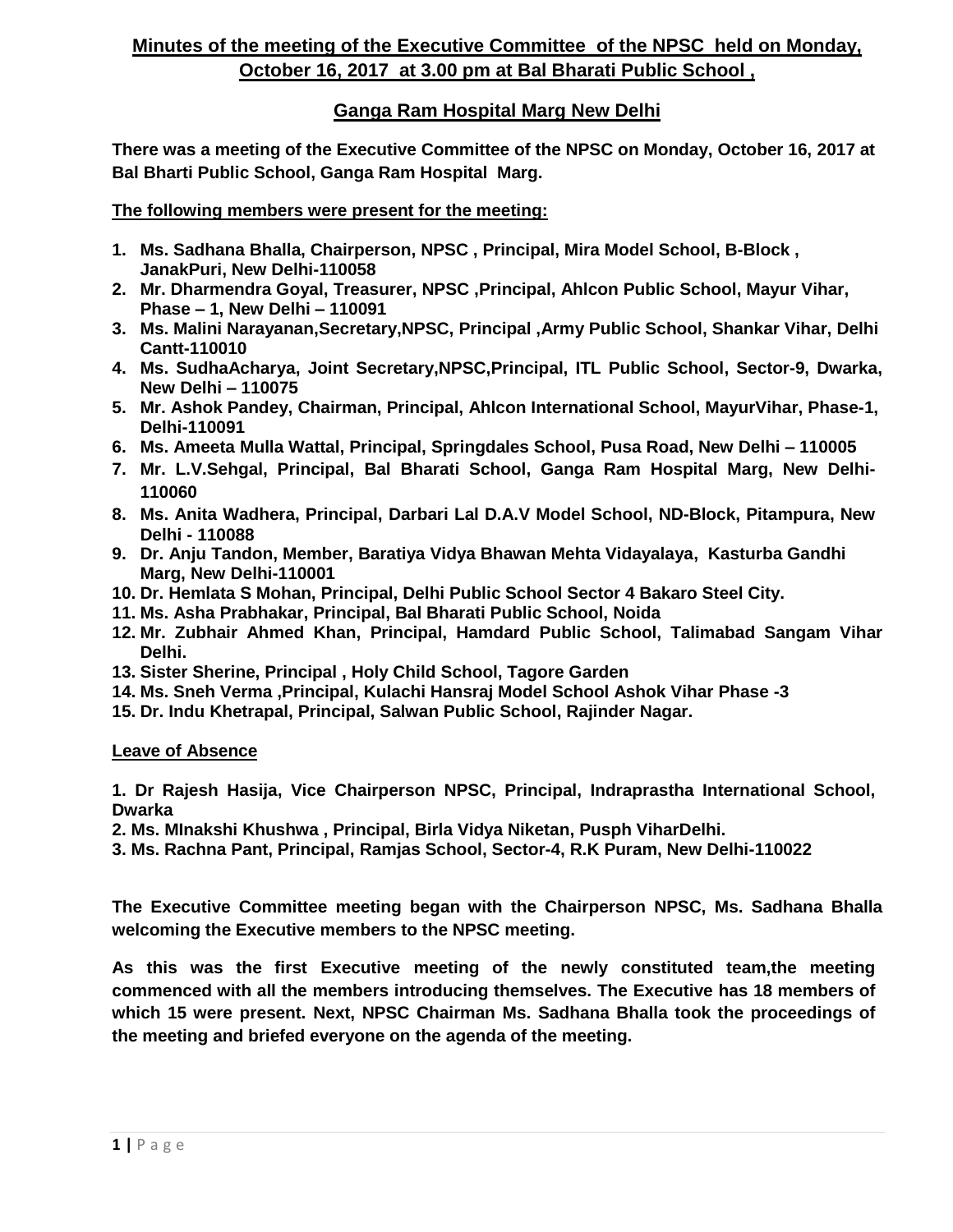# **Minutes of the meeting of the Executive Committee of the NPSC held on Monday, October 16, 2017 at 3.00 pm at Bal Bharati Public School ,**

## **Ganga Ram Hospital Marg New Delhi**

**There was a meeting of the Executive Committee of the NPSC on Monday, October 16, 2017 at Bal Bharti Public School, Ganga Ram Hospital Marg.**

**The following members were present for the meeting:**

- **1. Ms. Sadhana Bhalla, Chairperson, NPSC , Principal, Mira Model School, B-Block , JanakPuri, New Delhi-110058**
- **2. Mr. Dharmendra Goyal, Treasurer, NPSC ,Principal, Ahlcon Public School, Mayur Vihar, Phase – 1, New Delhi – 110091**
- **3. Ms. Malini Narayanan,Secretary,NPSC, Principal ,Army Public School, Shankar Vihar, Delhi Cantt-110010**
- **4. Ms. SudhaAcharya, Joint Secretary,NPSC,Principal, ITL Public School, Sector-9, Dwarka, New Delhi – 110075**
- **5. Mr. Ashok Pandey, Chairman, Principal, Ahlcon International School, MayurVihar, Phase-1, Delhi-110091**
- **6. Ms. Ameeta Mulla Wattal, Principal, Springdales School, Pusa Road, New Delhi – 110005**
- **7. Mr. L.V.Sehgal, Principal, Bal Bharati School, Ganga Ram Hospital Marg, New Delhi-110060**
- **8. Ms. Anita Wadhera, Principal, Darbari Lal D.A.V Model School, ND-Block, Pitampura, New Delhi - 110088**
- **9. Dr. Anju Tandon, Member, Baratiya Vidya Bhawan Mehta Vidayalaya, Kasturba Gandhi Marg, New Delhi-110001**
- **10. Dr. Hemlata S Mohan, Principal, Delhi Public School Sector 4 Bakaro Steel City.**
- **11. Ms. Asha Prabhakar, Principal, Bal Bharati Public School, Noida**
- **12. Mr. Zubhair Ahmed Khan, Principal, Hamdard Public School, Talimabad Sangam Vihar Delhi.**
- **13. Sister Sherine, Principal , Holy Child School, Tagore Garden**
- **14. Ms. Sneh Verma ,Principal, Kulachi Hansraj Model School Ashok Vihar Phase -3**
- **15. Dr. Indu Khetrapal, Principal, Salwan Public School, Rajinder Nagar.**

#### **Leave of Absence**

**1. Dr Rajesh Hasija, Vice Chairperson NPSC, Principal, Indraprastha International School, Dwarka**

- **2. Ms. MInakshi Khushwa , Principal, Birla Vidya Niketan, Pusph ViharDelhi.**
- **3. Ms. Rachna Pant, Principal, Ramjas School, Sector-4, R.K Puram, New Delhi-110022**

**The Executive Committee meeting began with the Chairperson NPSC, Ms. Sadhana Bhalla welcoming the Executive members to the NPSC meeting.**

**As this was the first Executive meeting of the newly constituted team,the meeting commenced with all the members introducing themselves. The Executive has 18 members of which 15 were present. Next, NPSC Chairman Ms. Sadhana Bhalla took the proceedings of the meeting and briefed everyone on the agenda of the meeting.**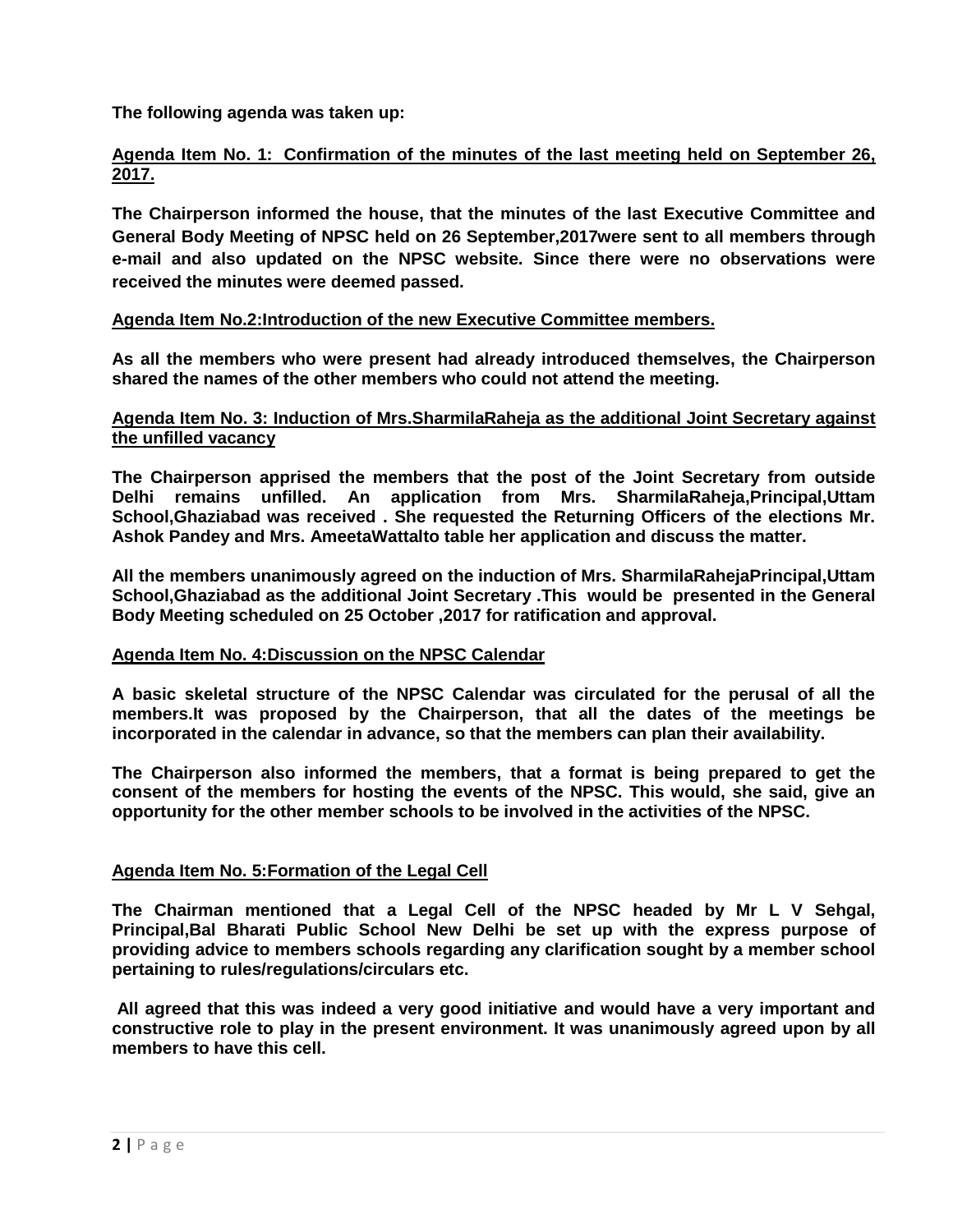**The following agenda was taken up:**

## **Agenda Item No. 1: Confirmation of the minutes of the last meeting held on September 26, 2017.**

**The Chairperson informed the house, that the minutes of the last Executive Committee and General Body Meeting of NPSC held on 26 September,2017were sent to all members through e-mail and also updated on the NPSC website. Since there were no observations were received the minutes were deemed passed.** 

## **Agenda Item No.2:Introduction of the new Executive Committee members.**

**As all the members who were present had already introduced themselves, the Chairperson shared the names of the other members who could not attend the meeting.**

#### **Agenda Item No. 3: Induction of Mrs.SharmilaRaheja as the additional Joint Secretary against the unfilled vacancy**

**The Chairperson apprised the members that the post of the Joint Secretary from outside Delhi remains unfilled. An application from Mrs. SharmilaRaheja,Principal,Uttam School,Ghaziabad was received . She requested the Returning Officers of the elections Mr. Ashok Pandey and Mrs. AmeetaWattalto table her application and discuss the matter.**

**All the members unanimously agreed on the induction of Mrs. SharmilaRahejaPrincipal,Uttam School,Ghaziabad as the additional Joint Secretary .This would be presented in the General Body Meeting scheduled on 25 October ,2017 for ratification and approval.**

#### **Agenda Item No. 4:Discussion on the NPSC Calendar**

**A basic skeletal structure of the NPSC Calendar was circulated for the perusal of all the members.It was proposed by the Chairperson, that all the dates of the meetings be incorporated in the calendar in advance, so that the members can plan their availability.**

**The Chairperson also informed the members, that a format is being prepared to get the consent of the members for hosting the events of the NPSC. This would, she said, give an opportunity for the other member schools to be involved in the activities of the NPSC.**

#### **Agenda Item No. 5:Formation of the Legal Cell**

**The Chairman mentioned that a Legal Cell of the NPSC headed by Mr L V Sehgal, Principal,Bal Bharati Public School New Delhi be set up with the express purpose of providing advice to members schools regarding any clarification sought by a member school pertaining to rules/regulations/circulars etc.**

**All agreed that this was indeed a very good initiative and would have a very important and constructive role to play in the present environment. It was unanimously agreed upon by all members to have this cell.**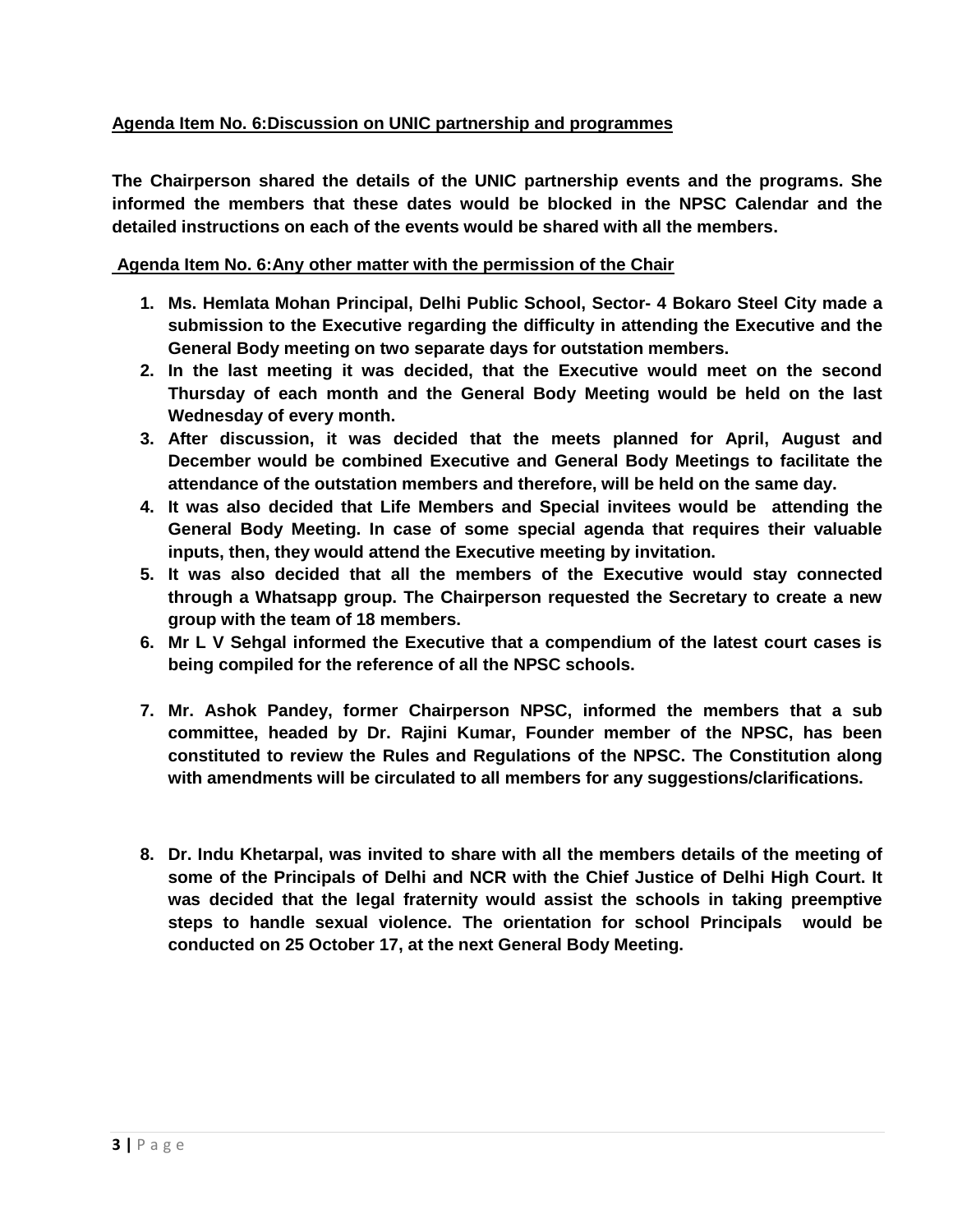## **Agenda Item No. 6:Discussion on UNIC partnership and programmes**

**The Chairperson shared the details of the UNIC partnership events and the programs. She informed the members that these dates would be blocked in the NPSC Calendar and the detailed instructions on each of the events would be shared with all the members.**

#### **Agenda Item No. 6:Any other matter with the permission of the Chair**

- **1. Ms. Hemlata Mohan Principal, Delhi Public School, Sector- 4 Bokaro Steel City made a submission to the Executive regarding the difficulty in attending the Executive and the General Body meeting on two separate days for outstation members.**
- **2. In the last meeting it was decided, that the Executive would meet on the second Thursday of each month and the General Body Meeting would be held on the last Wednesday of every month.**
- **3. After discussion, it was decided that the meets planned for April, August and December would be combined Executive and General Body Meetings to facilitate the attendance of the outstation members and therefore, will be held on the same day.**
- **4. It was also decided that Life Members and Special invitees would be attending the General Body Meeting. In case of some special agenda that requires their valuable inputs, then, they would attend the Executive meeting by invitation.**
- **5. It was also decided that all the members of the Executive would stay connected through a Whatsapp group. The Chairperson requested the Secretary to create a new group with the team of 18 members.**
- **6. Mr L V Sehgal informed the Executive that a compendium of the latest court cases is being compiled for the reference of all the NPSC schools.**
- **7. Mr. Ashok Pandey, former Chairperson NPSC, informed the members that a sub committee, headed by Dr. Rajini Kumar, Founder member of the NPSC, has been constituted to review the Rules and Regulations of the NPSC. The Constitution along with amendments will be circulated to all members for any suggestions/clarifications.**
- **8. Dr. Indu Khetarpal, was invited to share with all the members details of the meeting of some of the Principals of Delhi and NCR with the Chief Justice of Delhi High Court. It was decided that the legal fraternity would assist the schools in taking preemptive steps to handle sexual violence. The orientation for school Principals would be conducted on 25 October 17, at the next General Body Meeting.**